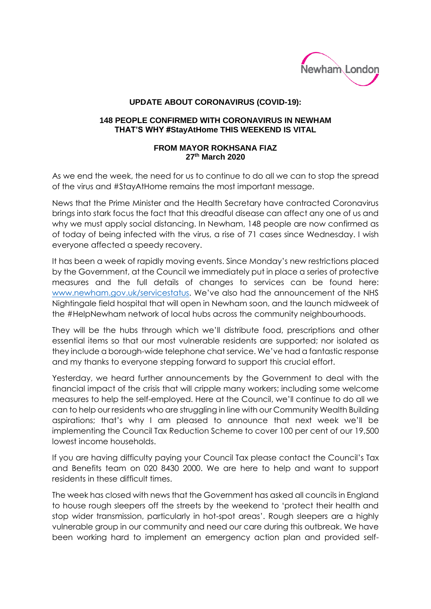

## **UPDATE ABOUT CORONAVIRUS (COVID-19):**

## **148 PEOPLE CONFIRMED WITH CORONAVIRUS IN NEWHAM THAT'S WHY #StayAtHome THIS WEEKEND IS VITAL**

## **FROM MAYOR ROKHSANA FIAZ 27th March 2020**

As we end the week, the need for us to continue to do all we can to stop the spread of the virus and #StayAtHome remains the most important message.

News that the Prime Minister and the Health Secretary have contracted Coronavirus brings into stark focus the fact that this dreadful disease can affect any one of us and why we must apply social distancing. In Newham, 148 people are now confirmed as of today of being infected with the virus, a rise of 71 cases since Wednesday. I wish everyone affected a speedy recovery.

It has been a week of rapidly moving events. Since Monday's new restrictions placed by the Government, at the Council we immediately put in place a series of protective measures and the full details of changes to services can be found here: [www.newham.gov.uk/servicestatus.](http://www.newham.gov.uk/servicestatus) We've also had the announcement of the NHS Nightingale field hospital that will open in Newham soon, and the launch midweek of the #HelpNewham network of local hubs across the community neighbourhoods.

They will be the hubs through which we'll distribute food, prescriptions and other essential items so that our most vulnerable residents are supported; nor isolated as they include a borough-wide telephone chat service. We've had a fantastic response and my thanks to everyone stepping forward to support this crucial effort.

Yesterday, we heard further announcements by the Government to deal with the financial impact of the crisis that will cripple many workers; including some welcome measures to help the self-employed. Here at the Council, we'll continue to do all we can to help our residents who are struggling in line with our Community Wealth Building aspirations; that's why I am pleased to announce that next week we'll be implementing the Council Tax Reduction Scheme to cover 100 per cent of our 19,500 lowest income households.

If you are having difficulty paying your Council Tax please contact the Council's Tax and Benefits team on 020 8430 2000. We are here to help and want to support residents in these difficult times.

The week has closed with news that the Government has asked all councils in England to house rough sleepers off the streets by the weekend to 'protect their health and stop wider transmission, particularly in hot-spot areas'. Rough sleepers are a highly vulnerable group in our community and need our care during this outbreak. We have been working hard to implement an emergency action plan and provided self